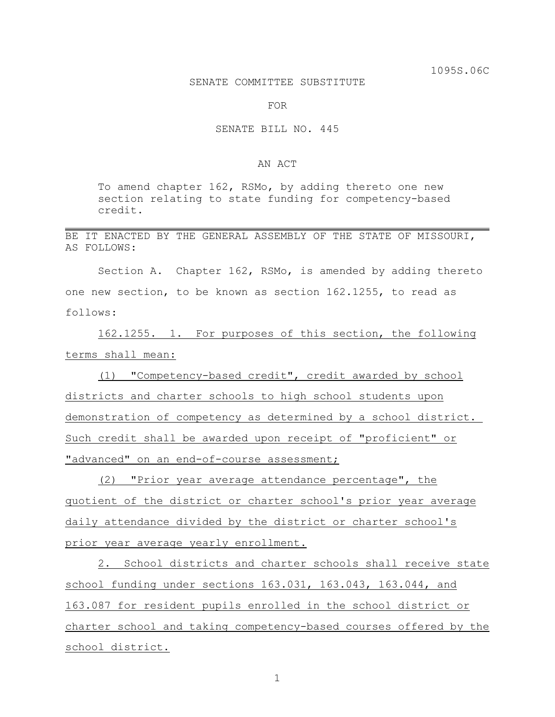## SENATE COMMITTEE SUBSTITUTE

FOR

## SENATE BILL NO. 445

## AN ACT

To amend chapter 162, RSMo, by adding thereto one new section relating to state funding for competency-based credit.

BE IT ENACTED BY THE GENERAL ASSEMBLY OF THE STATE OF MISSOURI, AS FOLLOWS:

Section A. Chapter 162, RSMo, is amended by adding thereto one new section, to be known as section 162.1255, to read as follows:

162.1255. 1. For purposes of this section, the following terms shall mean:

(1) "Competency-based credit", credit awarded by school districts and charter schools to high school students upon demonstration of competency as determined by a school district. Such credit shall be awarded upon receipt of "proficient" or "advanced" on an end-of-course assessment;

(2) "Prior year average attendance percentage", the quotient of the district or charter school's prior year average daily attendance divided by the district or charter school's prior year average yearly enrollment.

2. School districts and charter schools shall receive state school funding under sections 163.031, 163.043, 163.044, and 163.087 for resident pupils enrolled in the school district or charter school and taking competency-based courses offered by the school district.

1